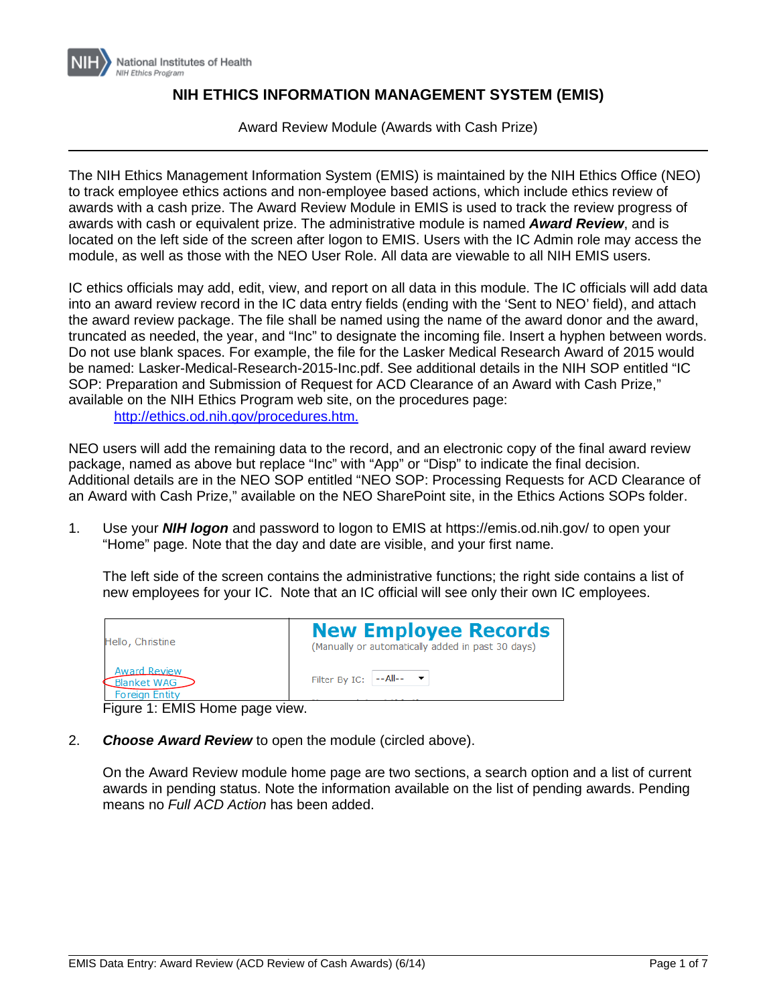

# **NIH ETHICS INFORMATION MANAGEMENT SYSTEM (EMIS)**

Award Review Module (Awards with Cash Prize)

The NIH Ethics Management Information System (EMIS) is maintained by the NIH Ethics Office (NEO) to track employee ethics actions and non-employee based actions, which include ethics review of awards with a cash prize. The Award Review Module in EMIS is used to track the review progress of awards with cash or equivalent prize. The administrative module is named *Award Review*, and is located on the left side of the screen after logon to EMIS. Users with the IC Admin role may access the module, as well as those with the NEO User Role. All data are viewable to all NIH EMIS users.

IC ethics officials may add, edit, view, and report on all data in this module. The IC officials will add data into an award review record in the IC data entry fields (ending with the 'Sent to NEO' field), and attach the award review package. The file shall be named using the name of the award donor and the award, truncated as needed, the year, and "Inc" to designate the incoming file. Insert a hyphen between words. Do not use blank spaces. For example, the file for the Lasker Medical Research Award of 2015 would be named: Lasker-Medical-Research-2015-Inc.pdf. See additional details in the NIH SOP entitled "IC SOP: Preparation and Submission of Request for ACD Clearance of an Award with Cash Prize," available on the NIH Ethics Program web site, on the procedures page: [http://ethics.od.nih.gov/procedures.htm.](http://ethics.od.nih.gov/procedures.htm)

NEO users will add the remaining data to the record, and an electronic copy of the final award review package, named as above but replace "Inc" with "App" or "Disp" to indicate the final decision. Additional details are in the NEO SOP entitled "NEO SOP: Processing Requests for ACD Clearance of an Award with Cash Prize," available on the NEO SharePoint site, in the Ethics Actions SOPs folder.

1. Use your *NIH logon* and password to logon to EMIS at https://emis.od.nih.gov/ to open your "Home" page. Note that the day and date are visible, and your first name.

The left side of the screen contains the administrative functions; the right side contains a list of new employees for your IC. Note that an IC official will see only their own IC employees.

| Hello, Christine                                            | <b>New Employee Records</b><br>(Manually or automatically added in past 30 days) |
|-------------------------------------------------------------|----------------------------------------------------------------------------------|
| <b>Award Review</b><br>Blanket WAG<br><b>Foreign Entity</b> | Filter By IC: $\left  \cdot - A \right  \left  \cdot \right $ $\bullet$          |

Figure 1: EMIS Home page view.

2. *Choose Award Review* to open the module (circled above).

On the Award Review module home page are two sections, a search option and a list of current awards in pending status. Note the information available on the list of pending awards. Pending means no *Full ACD Action* has been added.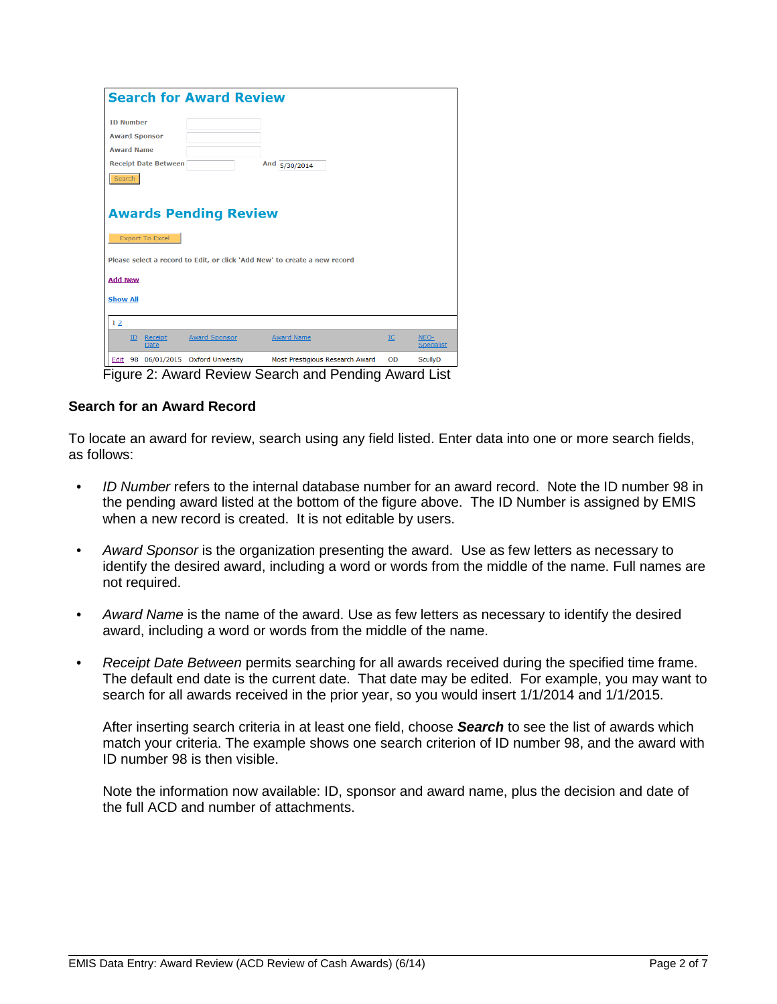| <b>Search for Award Review</b>                         |                              |                                                                           |    |                           |  |
|--------------------------------------------------------|------------------------------|---------------------------------------------------------------------------|----|---------------------------|--|
| <b>TD Number</b>                                       |                              |                                                                           |    |                           |  |
| <b>Award Sponsor</b>                                   |                              |                                                                           |    |                           |  |
| <b>Award Name</b>                                      |                              |                                                                           |    |                           |  |
| <b>Receipt Date Between</b>                            |                              | And 5/30/2014                                                             |    |                           |  |
| Search                                                 |                              |                                                                           |    |                           |  |
|                                                        |                              |                                                                           |    |                           |  |
| <b>Awards Pending Review</b><br><b>Export To Excel</b> |                              |                                                                           |    |                           |  |
|                                                        |                              | Please select a record to Edit, or click 'Add New' to create a new record |    |                           |  |
| <b>Add New</b>                                         |                              |                                                                           |    |                           |  |
| <b>Show All</b>                                        |                              |                                                                           |    |                           |  |
| 12                                                     |                              |                                                                           |    |                           |  |
| Receipt<br>ID<br><b>Date</b>                           | Award Sponsor                | <b>Award Name</b>                                                         | IC | NEO-<br><b>Specialist</b> |  |
| Edit 98                                                | 06/01/2015 Oxford University | Most Prestigious Research Award                                           | OD | <b>ScullyD</b>            |  |

Figure 2: Award Review Search and Pending Award List

## **Search for an Award Record**

To locate an award for review, search using any field listed. Enter data into one or more search fields, as follows:

- *ID Number* refers to the internal database number for an award record. Note the ID number 98 in the pending award listed at the bottom of the figure above. The ID Number is assigned by EMIS when a new record is created. It is not editable by users.
- *Award Sponsor* is the organization presenting the award. Use as few letters as necessary to identify the desired award, including a word or words from the middle of the name. Full names are not required.
- *Award Name* is the name of the award. Use as few letters as necessary to identify the desired award, including a word or words from the middle of the name.
- *Receipt Date Between* permits searching for all awards received during the specified time frame. The default end date is the current date. That date may be edited. For example, you may want to search for all awards received in the prior year, so you would insert 1/1/2014 and 1/1/2015.

After inserting search criteria in at least one field, choose *Search* to see the list of awards which match your criteria. The example shows one search criterion of ID number 98, and the award with ID number 98 is then visible.

Note the information now available: ID, sponsor and award name, plus the decision and date of the full ACD and number of attachments.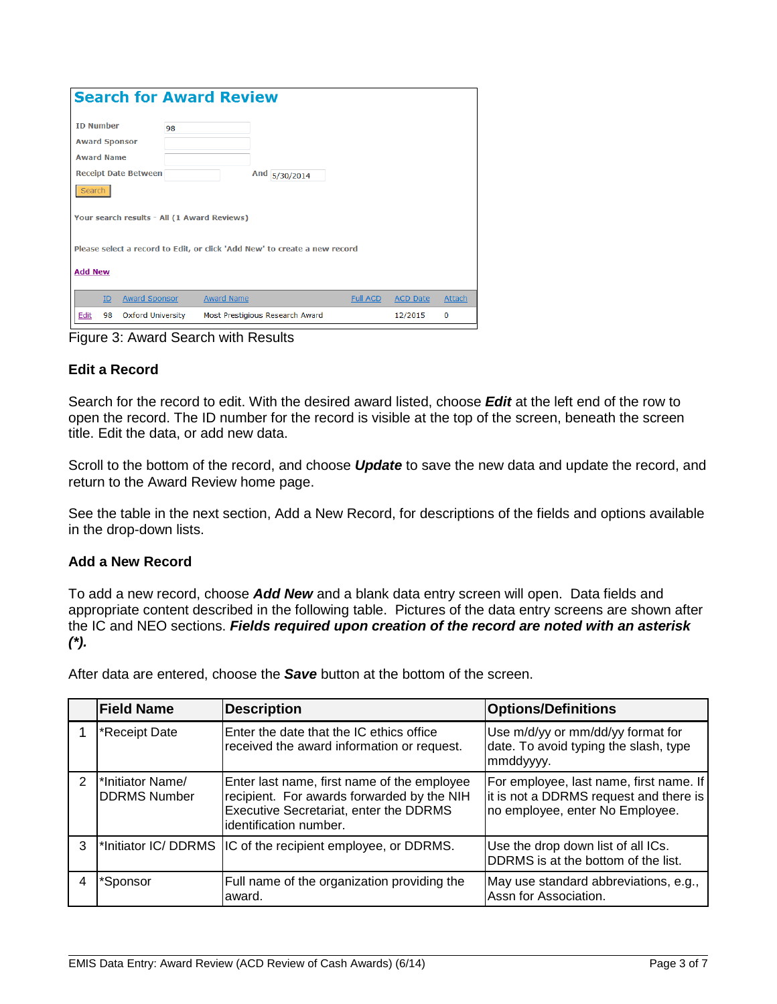| <b>Search for Award Review</b>                                            |                                             |                                 |               |                 |                 |        |
|---------------------------------------------------------------------------|---------------------------------------------|---------------------------------|---------------|-----------------|-----------------|--------|
| <b>ID Number</b>                                                          | 98                                          |                                 |               |                 |                 |        |
| <b>Award Sponsor</b>                                                      |                                             |                                 |               |                 |                 |        |
| <b>Award Name</b>                                                         |                                             |                                 |               |                 |                 |        |
| <b>Receipt Date Between</b>                                               |                                             |                                 | And 5/30/2014 |                 |                 |        |
| Search                                                                    |                                             |                                 |               |                 |                 |        |
|                                                                           | Your search results - All (1 Award Reviews) |                                 |               |                 |                 |        |
| Please select a record to Edit, or click 'Add New' to create a new record |                                             |                                 |               |                 |                 |        |
| <b>Add New</b>                                                            |                                             |                                 |               |                 |                 |        |
| <b>Award Sponsor</b><br>ID                                                |                                             | <b>Award Name</b>               |               | <b>Full ACD</b> | <b>ACD Date</b> | Attach |
| Edit<br>98                                                                | <b>Oxford University</b>                    | Most Prestigious Research Award |               |                 | 12/2015         | 0      |

Figure 3: Award Search with Results

# **Edit a Record**

Search for the record to edit. With the desired award listed, choose *Edit* at the left end of the row to open the record. The ID number for the record is visible at the top of the screen, beneath the screen title. Edit the data, or add new data.

Scroll to the bottom of the record, and choose *Update* to save the new data and update the record, and return to the Award Review home page.

See the table in the next section, Add a New Record, for descriptions of the fields and options available in the drop-down lists.

## **Add a New Record**

To add a new record, choose *Add New* and a blank data entry screen will open. Data fields and appropriate content described in the following table. Pictures of the data entry screens are shown after the IC and NEO sections. *Fields required upon creation of the record are noted with an asterisk (\*).*

After data are entered, choose the *Save* button at the bottom of the screen.

|               | <b>Field Name</b>                        | <b>Description</b>                                                                                                                                                    | <b>Options/Definitions</b>                                                                                           |
|---------------|------------------------------------------|-----------------------------------------------------------------------------------------------------------------------------------------------------------------------|----------------------------------------------------------------------------------------------------------------------|
|               | *Receipt Date                            | Enter the date that the IC ethics office<br>received the award information or request.                                                                                | Use m/d/yy or mm/dd/yy format for<br>date. To avoid typing the slash, type<br>mmddyyyy.                              |
| $\mathcal{P}$ | l*Initiator Name/<br><b>DDRMS Number</b> | Enter last name, first name of the employee<br>recipient. For awards forwarded by the NIH<br><b>Executive Secretariat, enter the DDRMS</b><br>lidentification number. | For employee, last name, first name. If<br>it is not a DDRMS request and there is<br>no employee, enter No Employee. |
| 3             |                                          | <sup>*</sup> Initiator IC/DDRMS IC of the recipient employee, or DDRMS.                                                                                               | Use the drop down list of all ICs.<br>DDRMS is at the bottom of the list.                                            |
|               | *Sponsor                                 | Full name of the organization providing the<br>award.                                                                                                                 | May use standard abbreviations, e.g.,<br>Assn for Association.                                                       |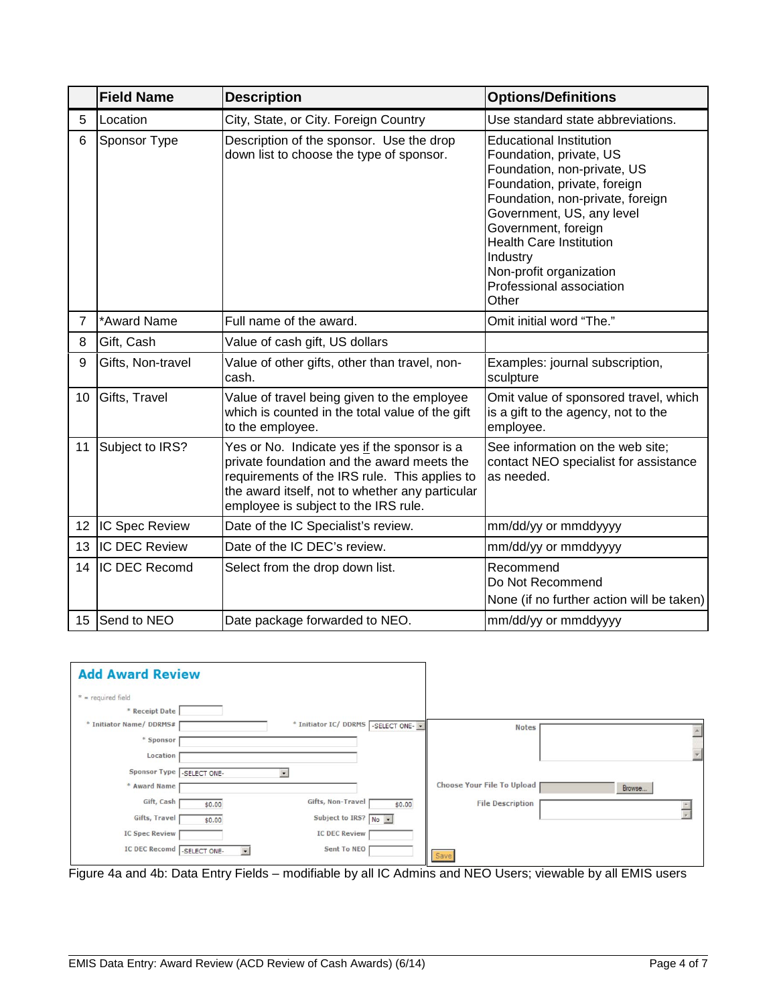|                | <b>Field Name</b>    | <b>Description</b>                                                                                                                                                                                                                    | <b>Options/Definitions</b>                                                                                                                                                                                                                                                                                                     |
|----------------|----------------------|---------------------------------------------------------------------------------------------------------------------------------------------------------------------------------------------------------------------------------------|--------------------------------------------------------------------------------------------------------------------------------------------------------------------------------------------------------------------------------------------------------------------------------------------------------------------------------|
| 5              | Location             | City, State, or City. Foreign Country                                                                                                                                                                                                 | Use standard state abbreviations.                                                                                                                                                                                                                                                                                              |
| 6              | Sponsor Type         | Description of the sponsor. Use the drop<br>down list to choose the type of sponsor.                                                                                                                                                  | <b>Educational Institution</b><br>Foundation, private, US<br>Foundation, non-private, US<br>Foundation, private, foreign<br>Foundation, non-private, foreign<br>Government, US, any level<br>Government, foreign<br><b>Health Care Institution</b><br>Industry<br>Non-profit organization<br>Professional association<br>Other |
| $\overline{7}$ | *Award Name          | Full name of the award.                                                                                                                                                                                                               | Omit initial word "The."                                                                                                                                                                                                                                                                                                       |
| 8              | Gift, Cash           | Value of cash gift, US dollars                                                                                                                                                                                                        |                                                                                                                                                                                                                                                                                                                                |
| 9              | Gifts, Non-travel    | Value of other gifts, other than travel, non-<br>cash.                                                                                                                                                                                | Examples: journal subscription,<br>sculpture                                                                                                                                                                                                                                                                                   |
| 10             | Gifts, Travel        | Value of travel being given to the employee<br>which is counted in the total value of the gift<br>to the employee.                                                                                                                    | Omit value of sponsored travel, which<br>is a gift to the agency, not to the<br>employee.                                                                                                                                                                                                                                      |
| 11             | Subject to IRS?      | Yes or No. Indicate yes if the sponsor is a<br>private foundation and the award meets the<br>requirements of the IRS rule. This applies to<br>the award itself, not to whether any particular<br>employee is subject to the IRS rule. | See information on the web site;<br>contact NEO specialist for assistance<br>as needed.                                                                                                                                                                                                                                        |
| 12             | IC Spec Review       | Date of the IC Specialist's review.                                                                                                                                                                                                   | mm/dd/yy or mmddyyyy                                                                                                                                                                                                                                                                                                           |
| 13             | <b>IC DEC Review</b> | Date of the IC DEC's review.                                                                                                                                                                                                          | mm/dd/yy or mmddyyyy                                                                                                                                                                                                                                                                                                           |
| 14             | IC DEC Recomd        | Select from the drop down list.                                                                                                                                                                                                       | Recommend<br>Do Not Recommend<br>None (if no further action will be taken)                                                                                                                                                                                                                                                     |
| 15             | Send to NEO          | Date package forwarded to NEO.                                                                                                                                                                                                        | mm/dd/yy or mmddyyyy                                                                                                                                                                                                                                                                                                           |

| <b>Add Award Review</b>                   |           |                                              |                            |        |
|-------------------------------------------|-----------|----------------------------------------------|----------------------------|--------|
| $* = required field$                      |           |                                              |                            |        |
| * Receipt Date<br>* Initiator Name/DDRMS# |           | * Initiator IC/ DDRMS -SELECT ONE- -         | <b>Notes</b>               |        |
| * Sponsor                                 |           |                                              |                            |        |
| Location<br>Sponsor Type -SELECT ONE-     |           |                                              |                            |        |
| * Award Name                              |           |                                              | Choose Your File To Upload | Browse |
| Gift, Cash                                | \$0.00    | Gifts, Non-Travel<br>\$0.00                  | <b>File Description</b>    |        |
| Gifts, Travel<br><b>IC Spec Review</b>    | \$0.00    | Subject to IRS? No -<br><b>IC DEC Review</b> |                            |        |
| IC DEC Recomd SELECT ONE-                 | $\bullet$ | Sent To NEO                                  | Save                       |        |

Figure 4a and 4b: Data Entry Fields – modifiable by all IC Admins and NEO Users; viewable by all EMIS users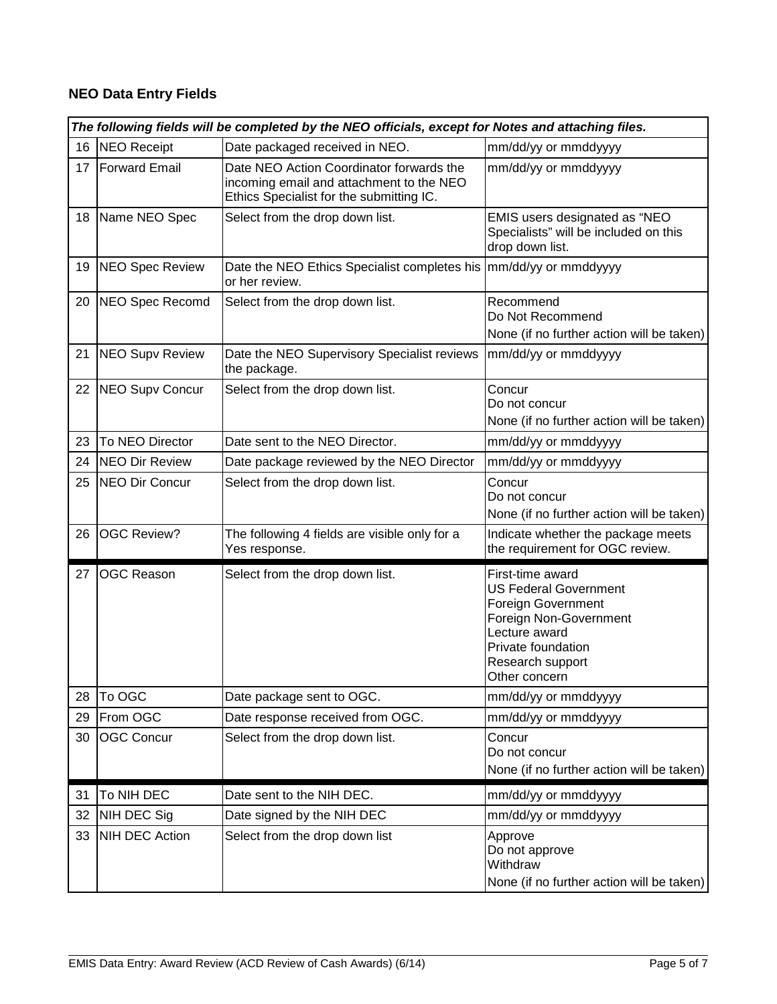# **NEO Data Entry Fields**

|    | The following fields will be completed by the NEO officials, except for Notes and attaching files. |                                                                                                                                  |                                                                                                                                                                              |  |
|----|----------------------------------------------------------------------------------------------------|----------------------------------------------------------------------------------------------------------------------------------|------------------------------------------------------------------------------------------------------------------------------------------------------------------------------|--|
| 16 | <b>NEO Receipt</b>                                                                                 | Date packaged received in NEO.                                                                                                   | mm/dd/yy or mmddyyyy                                                                                                                                                         |  |
| 17 | <b>Forward Email</b>                                                                               | Date NEO Action Coordinator forwards the<br>incoming email and attachment to the NEO<br>Ethics Specialist for the submitting IC. | mm/dd/yy or mmddyyyy                                                                                                                                                         |  |
| 18 | Name NEO Spec                                                                                      | Select from the drop down list.                                                                                                  | EMIS users designated as "NEO<br>Specialists" will be included on this<br>drop down list.                                                                                    |  |
| 19 | <b>NEO Spec Review</b>                                                                             | Date the NEO Ethics Specialist completes his<br>or her review.                                                                   | mm/dd/yy or mmddyyyy                                                                                                                                                         |  |
| 20 | <b>NEO Spec Recomd</b>                                                                             | Select from the drop down list.                                                                                                  | Recommend<br>Do Not Recommend<br>None (if no further action will be taken)                                                                                                   |  |
| 21 | <b>NEO Supv Review</b>                                                                             | Date the NEO Supervisory Specialist reviews<br>the package.                                                                      | mm/dd/yy or mmddyyyy                                                                                                                                                         |  |
| 22 | <b>NEO Supv Concur</b>                                                                             | Select from the drop down list.                                                                                                  | Concur<br>Do not concur<br>None (if no further action will be taken)                                                                                                         |  |
| 23 | To NEO Director                                                                                    | Date sent to the NEO Director.                                                                                                   | mm/dd/yy or mmddyyyy                                                                                                                                                         |  |
| 24 | <b>NEO Dir Review</b>                                                                              | Date package reviewed by the NEO Director                                                                                        | mm/dd/yy or mmddyyyy                                                                                                                                                         |  |
| 25 | <b>NEO Dir Concur</b>                                                                              | Select from the drop down list.                                                                                                  | Concur<br>Do not concur<br>None (if no further action will be taken)                                                                                                         |  |
| 26 | <b>OGC Review?</b>                                                                                 | The following 4 fields are visible only for a<br>Yes response.                                                                   | Indicate whether the package meets<br>the requirement for OGC review.                                                                                                        |  |
| 27 | <b>OGC Reason</b>                                                                                  | Select from the drop down list.                                                                                                  | First-time award<br><b>US Federal Government</b><br>Foreign Government<br>Foreign Non-Government<br>Lecture award<br>Private foundation<br>Research support<br>Other concern |  |
| 28 | To OGC                                                                                             | Date package sent to OGC.                                                                                                        | mm/dd/yy or mmddyyyy                                                                                                                                                         |  |
| 29 | From OGC                                                                                           | Date response received from OGC.                                                                                                 | mm/dd/yy or mmddyyyy                                                                                                                                                         |  |
| 30 | <b>OGC Concur</b>                                                                                  | Select from the drop down list.                                                                                                  | Concur<br>Do not concur<br>None (if no further action will be taken)                                                                                                         |  |
| 31 | To NIH DEC                                                                                         | Date sent to the NIH DEC.                                                                                                        | mm/dd/yy or mmddyyyy                                                                                                                                                         |  |
| 32 | NIH DEC Sig                                                                                        | Date signed by the NIH DEC                                                                                                       | mm/dd/yy or mmddyyyy                                                                                                                                                         |  |
| 33 | <b>NIH DEC Action</b>                                                                              | Select from the drop down list                                                                                                   | Approve<br>Do not approve<br>Withdraw<br>None (if no further action will be taken)                                                                                           |  |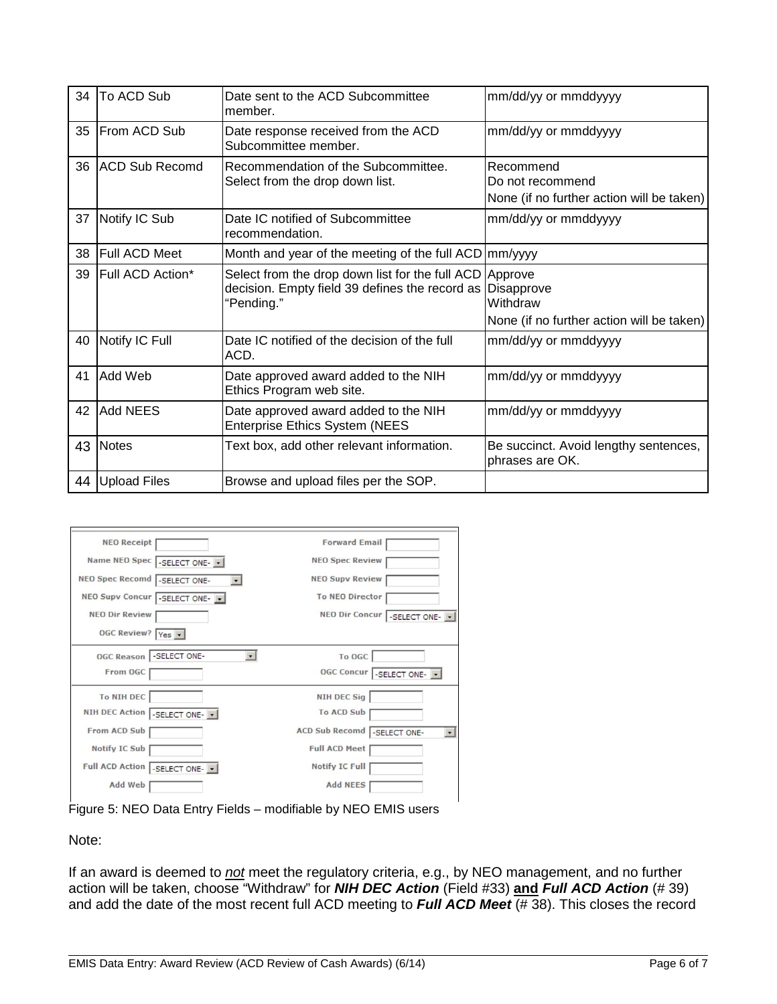| 34 | To ACD Sub             | Date sent to the ACD Subcommittee<br>member.                                                                            | mm/dd/yy or mmddyyyy                                                       |
|----|------------------------|-------------------------------------------------------------------------------------------------------------------------|----------------------------------------------------------------------------|
| 35 | <b>IFrom ACD Sub</b>   | Date response received from the ACD<br>Subcommittee member.                                                             | mm/dd/yy or mmddyyyy                                                       |
| 36 | <b>IACD Sub Recomd</b> | Recommendation of the Subcommittee.<br>Select from the drop down list.                                                  | Recommend<br>Do not recommend<br>None (if no further action will be taken) |
| 37 | Notify IC Sub          | Date IC notified of Subcommittee<br>recommendation.                                                                     | mm/dd/yy or mmddyyyy                                                       |
| 38 | <b>Full ACD Meet</b>   | Month and year of the meeting of the full ACD   mm/yyyy                                                                 |                                                                            |
| 39 | Full ACD Action*       | Select from the drop down list for the full ACD Approve<br>decision. Empty field 39 defines the record as<br>"Pending." | Disapprove<br>Withdraw<br>None (if no further action will be taken)        |
| 40 | Notify IC Full         | Date IC notified of the decision of the full<br>ACD.                                                                    | mm/dd/yy or mmddyyyy                                                       |
| 41 | Add Web                | Date approved award added to the NIH<br>Ethics Program web site.                                                        | mm/dd/yy or mmddyyyy                                                       |
| 42 | Add NEES               | Date approved award added to the NIH<br><b>Enterprise Ethics System (NEES</b>                                           | mm/dd/yy or mmddyyyy                                                       |
|    | 43 Notes               | Text box, add other relevant information.                                                                               | Be succinct. Avoid lengthy sentences,<br>phrases are OK.                   |
|    | 44 Upload Files        | Browse and upload files per the SOP.                                                                                    |                                                                            |

| <b>NEO Receipt</b>                            | <b>Forward Email</b>             |
|-----------------------------------------------|----------------------------------|
| Name NEO Spec -SELECT ONE-                    | <b>NEO Spec Review</b>           |
| NEO Spec Recomd  -SELECT ONE-<br>$\mathbf{v}$ | <b>NEO Supy Review</b>           |
| NEO Supv Concur -SELECT ONE-                  | <b>To NEO Director</b>           |
| <b>NEO Dir Review</b>                         | NEO Dir Concur   - SELECT ONE- - |
| OGC Review? Yes -                             |                                  |
| OGC Reason   - SELECT ONE-<br>$\cdot$         | To OGC                           |
| From OGC                                      | OGC Concur -SELECT ONE-          |
| <b>To NIH DEC</b>                             | <b>NIH DEC Sig</b>               |
| NIH DEC Action SELECT ONE- -                  | <b>To ACD Sub</b>                |
| From ACD Sub                                  | ACD Sub Recomd -SELECT ONE-      |
| <b>Notify IC Sub</b>                          | <b>Full ACD Meet</b>             |
| Full ACD Action -SELECT ONE-                  | <b>Notify IC Full</b>            |
|                                               |                                  |

Figure 5: NEO Data Entry Fields – modifiable by NEO EMIS users

Note:

If an award is deemed to *not* meet the regulatory criteria, e.g., by NEO management, and no further action will be taken, choose "Withdraw" for *NIH DEC Action* (Field #33) **and** *Full ACD Action* (# 39) and add the date of the most recent full ACD meeting to *Full ACD Meet* (# 38). This closes the record